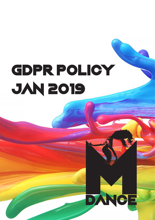# GDPR POLICY JAN 2019

DANCE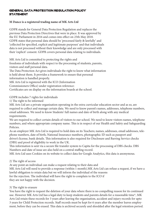## General Data Protection Regulation Policy **STATEMENT**

## **M Dance is a registered trading name of MK Arts Ltd**

GDPR stands for General Data Protection Regulation and replaces the previous Data Protection Directives that were in place. It was approved by the EU Parliament in 2016 and comes into effect on 25th May 2018. GDPR states that personal data should be 'processed fairly & lawfully' and 'collected for specified, explicit and legitimate purposes' and that individuals data is not processed without their knowledge and are only processed with their 'explicit' consent. GDPR covers personal data relating to individuals.

MK Arts Ltd is committed to protecting the rights and

freedoms of individuals with respect to the processing of students, parents, visitors and staff personal data.

The Data Protection Act gives individuals the right to know what information is held about them. It provides a framework to ensure that personal information is handled properly.

MK Arts Ltd is registered with the ICO (Information

Commissioners Office) under registration reference:

Certificates are on display on the information boards at the school.

GDPR includes 7 rights for individuals

1) The right to be informed

MK Arts Ltd are a private organisation operating in the extra curricular education sector and as so, are required to collect and manage certain data. We need to know parent's names, addresses, telephone numbers, email addresses. We need to know Students' full names and date of birth along with any medical requirements.

We are required to collect certain details of visitors to our school. We need to know visitors names, telephone numbers, and where appropriate company name. This is in respect of our Health and Safety and Safeguarding Policies.

As an employer MK Arts Ltd is required to hold data on its Teachers; names, addresses, email addresses, telephone numbers, date of birth, National Insurance numbers, photographic ID such as passport and driver's license, bank details. This information is also required for Disclosure and Barring Service checks (DBS) and proof of eligibility to work in the UK.

This information is sent via a secure file transfer system to Capita for the processing of DBS checks. DBS Numbers and date of issue are also held on a central staffing record.

MK Arts Ltd uses Cookies on its website to collect data for Google Analytics, this data is anonymous.

#### 2) The right of access

At any point an individual can make a request relating to their data and

MK Arts Ltd will need to provide a response (within 1 month).MK Arts Ltd can refuse a request, if we have a lawful obligation to retain data but we will inform the individual of the reasons for the rejection. The individual will have the right to complain to the ICO if

they are not happy with the decision.

# 3) The right to erasure

You have the right to request the deletion of your data where there is no compelling reason for its continued use. However MK Arts Ltd has a legal duty to keep students and parents details for a reasonable time\*, MK Arts Ltd retain these records for 3 years after leaving the organisation, accident and injury records for upto 3 years for Child Protection records. Staff records must be kept for 6 years after the member leaves employment, before they can be erased. This data is archived securely and shredded after the legal retention period.